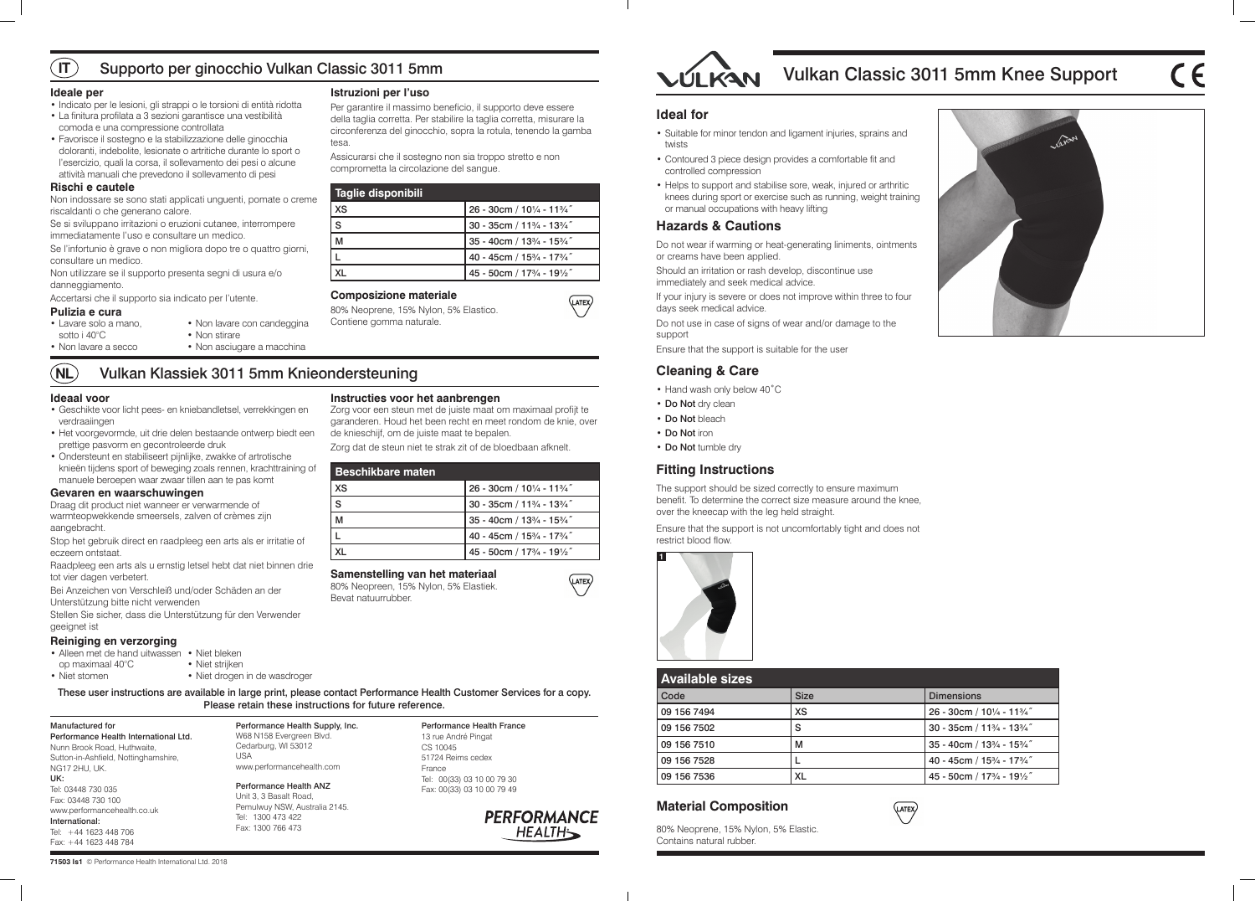# Vulkan Classic 3011 5mm Knee Support





(LATEX)

**71503 Is1** © Performance Health International Ltd. 2018



| <b>Available sizes</b> |             |                            |
|------------------------|-------------|----------------------------|
| Code                   | <b>Size</b> | <b>Dimensions</b>          |
| 09 156 7494            | <b>XS</b>   | 26 - 30cm / 101/4 - 113/4" |
| 09 156 7502            | S           | 30 - 35cm / 113/4 - 133/4" |
| 09 156 7510            | M           | 35 - 40cm / 133/4 - 153/4" |
| 09 156 7528            |             | 40 - 45cm / 153/4 - 173/4" |
| 09 156 7536            | XL          | 45 - 50cm / 173/4 - 191/2" |

# **Material Composition**

80% Neoprene, 15% Nylon, 5% Elastic. Contains natural rubber.

These user instructions are available in large print, please contact Performance Health Customer Services for a copy. Please retain these instructions for future reference.

### Manufactured for

Performance Health International Ltd. Nunn Brook Road, Huthwaite, Sutton-in-Ashfield, Nottinghamshire, NG17 2HU, UK. UK: Tel: 03448 730 035 Fax: 03448 730 100 www.performancehealth.co.uk International: Tel: +44 1623 448 706 Fax: +44 1623 448 784

Performance Health Supply, Inc. W68 N158 Evergreen Blvd. Cedarburg, WI 53012

USA

www.performancehealth.com Performance Health ANZ Unit 3, 3 Basalt Road, Pemulwuy NSW, Australia 2145.

- Hand wash only below 40°C
- Do Not dry clean
- Do Not bleach
- Do Not iron
- Do Not tumble dry

Tel: 1300 473 422 Fax: 1300 766 473

Performance Health France 13 rue André Pingat

CS 10045 51724 Reims cedex

France



(LATEX)

Tel: 00(33) 03 10 00 79 30 Fax: 00(33) 03 10 00 79 49

> **PERFORMANCE HEALTH**

# **Ideal for**

- Suitable for minor tendon and ligament injuries, sprains and twists
- Contoured 3 piece design provides a comfortable fit and controlled compression
- Helps to support and stabilise sore, weak, injured or arthritic knees during sport or exercise such as running, weight training or manual occupations with heavy lifting

# **Hazards & Cautions**

Do not wear if warming or heat-generating liniments, ointments or creams have been applied.

Should an irritation or rash develop, discontinue use immediately and seek medical advice.

If your injury is severe or does not improve within three to four days seek medical advice.

Do not use in case of signs of wear and/or damage to the support

Ensure that the support is suitable for the user

# **Cleaning & Care**

# **Fitting Instructions**

The support should be sized correctly to ensure maximum benefit. To determine the correct size measure around the knee, over the kneecap with the leg held straight.

Ensure that the support is not uncomfortably tight and does not restrict blood flow.



### **Ideale per**

- Indicato per le lesioni, gli strappi o le torsioni di entità ridotta
- La finitura profilata a 3 sezioni garantisce una vestibilità comoda e una compressione controllata
- Favorisce il sostegno e la stabilizzazione delle ginocchia doloranti, indebolite, lesionate o artritiche durante lo sport o l'esercizio, quali la corsa, il sollevamento dei pesi o alcune attività manuali che prevedono il sollevamento di pesi

#### $\sqrt{11}$ Supporto per ginocchio Vulkan Classic 3011 5mm

- Alleen met de hand uitwassen Niet bleken op maximaal 40°C • Niet stomen
	- Niet strijken • Niet drogen in de wasdroger

### **Rischi e cautele**

Non indossare se sono stati applicati unguenti, pomate o creme riscaldanti o che generano calore.

Se si sviluppano irritazioni o eruzioni cutanee, interrompere immediatamente l'uso e consultare un medico.

Se l'infortunio è grave o non migliora dopo tre o quattro giorni, consultare un medico.

Non utilizzare se il supporto presenta segni di usura e/o danneggiamento.

Accertarsi che il supporto sia indicato per l'utente.

### **Pulizia e cura**

# **Istruzioni per l'uso**

Per garantire il massimo beneficio, il supporto deve essere della taglia corretta. Per stabilire la taglia corretta, misurare la circonferenza del ginocchio, sopra la rotula, tenendo la gamba tesa.

Assicurarsi che il sostegno non sia troppo stretto e non comprometta la circolazione del sangue.

| Taglie disponibili |                                                                               |
|--------------------|-------------------------------------------------------------------------------|
| <b>XS</b>          | 26 - 30cm / 101/4 - 113/4"                                                    |
| S                  | 30 - 35cm / 11 <sup>3</sup> / <sub>4</sub> - 13 <sup>3</sup> / <sub>4</sub> " |
| M                  | 35 - 40cm / 133/4 - 153/4"                                                    |
|                    | 40 - 45cm / 153/4 - 173/4"                                                    |
|                    | 45 - 50cm / 173/4 - 191/2"                                                    |

# **Composizione materiale**

80% Neoprene, 15% Nylon, 5% Elastico. Contiene gomma naturale.

### **Ideaal voor**

#### **NL** Vulkan Klassiek 3011 5mm Knieondersteuning

- Geschikte voor licht pees- en kniebandletsel, verrekkingen en verdraaiingen
- Het voorgevormde, uit drie delen bestaande ontwerp biedt een prettige pasvorm en gecontroleerde druk
- Ondersteunt en stabiliseert pijnlijke, zwakke of artrotische knieën tijdens sport of beweging zoals rennen, krachttraining of manuele beroepen waar zwaar tillen aan te pas komt

### **Gevaren en waarschuwingen**

Draag dit product niet wanneer er verwarmende of warmteopwekkende smeersels, zalven of crèmes zijn aangebracht.

Stop het gebruik direct en raadpleeg een arts als er irritatie of eczeem ontstaat.

Raadpleeg een arts als u ernstig letsel hebt dat niet binnen drie tot vier dagen verbetert.

Bei Anzeichen von Verschleiß und/oder Schäden an der Unterstützung bitte nicht verwenden

Stellen Sie sicher, dass die Unterstützung für den Verwender geeignet ist

### **Reiniging en verzorging**

# **Instructies voor het aanbrengen**

Zorg voor een steun met de juiste maat om maximaal profijt te garanderen. Houd het been recht en meet rondom de knie, over de knieschijf, om de juiste maat te bepalen.

Zorg dat de steun niet te strak zit of de bloedbaan afknelt.

| Beschikbare maten |                                                                               |
|-------------------|-------------------------------------------------------------------------------|
| <b>XS</b>         | 26 - 30cm / 101/4 - 113/4"                                                    |
| Ś                 | 30 - 35cm / 11 <sup>3</sup> / <sub>4</sub> - 13 <sup>3</sup> / <sub>4</sub> " |
| м                 | $35 - 40$ cm / $13\frac{3}{4} - 15\frac{3}{4}$ "                              |
|                   | 40 - 45cm / 153/4 - 173/4"                                                    |
|                   | 45 - 50cm / 173/4 - 191/2"                                                    |

# **Samenstelling van het materiaal**

80% Neopreen, 15% Nylon, 5% Elastiek. Bevat natuurrubber.



- Lavare solo a mano,
- sotto i 40°C • Non lavare a secco
- Non stirare • Non asciugare a macchina

• Non lavare con candeggina